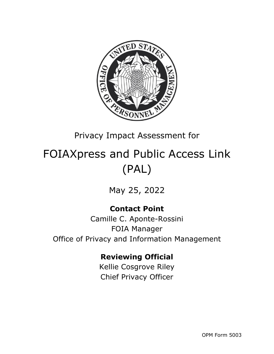

# Privacy Impact Assessment for

# FOIAXpress and Public Access Link (PAL)

May 25, 2022

# **Contact Point**

Camille C. Aponte-Rossini FOIA Manager Office of Privacy and Information Management

### **Reviewing Official**

Kellie Cosgrove Riley Chief Privacy Officer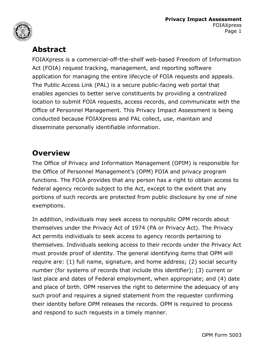



### **Abstract**

FOIAXpress is a commercial-off-the-shelf web-based Freedom of Information Act (FOIA) request tracking, management, and reporting software application for managing the entire lifecycle of FOIA requests and appeals. The Public Access Link (PAL) is a secure public-facing web portal that enables agencies to better serve constituents by providing a centralized location to submit FOIA requests, access records, and communicate with the Office of Personnel Management. This Privacy Impact Assessment is being conducted because FOIAXpress and PAL collect, use, maintain and disseminate personally identifiable information.

### **Overview**

The Office of Privacy and Information Management (OPIM) is responsible for the Office of Personnel Management's (OPM) FOIA and privacy program functions. The FOIA provides that any person has a right to obtain access to federal agency records subject to the Act, except to the extent that any portions of such records are protected from public disclosure by one of nine exemptions.

In addition, individuals may seek access to nonpublic OPM records about themselves under the Privacy Act of 1974 (PA or Privacy Act). The Privacy Act permits individuals to seek access to agency records pertaining to themselves. Individuals seeking access to their records under the Privacy Act must provide proof of identity. The general identifying items that OPM will require are: (1) full name, signature, and home address; (2) social security number (for systems of records that include this identifier); (3) current or last place and dates of Federal employment, when appropriate; and (4) date and place of birth. OPM reserves the right to determine the adequacy of any such proof and requires a signed statement from the requester confirming their identity before OPM releases the records. OPM is required to process and respond to such requests in a timely manner.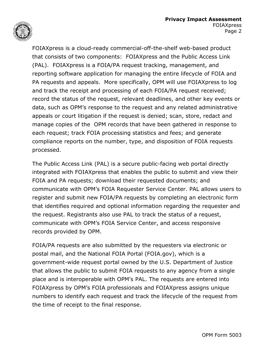

FOIAXpress is a cloud-ready commercial-off-the-shelf web-based product that consists of two components: FOIAXpress and the Public Access Link (PAL). FOIAXpress is a FOIA/PA request tracking, management, and reporting software application for managing the entire lifecycle of FOIA and PA requests and appeals. More specifically, OPM will use FOIAXpress to log and track the receipt and processing of each FOIA/PA request received; record the status of the request, relevant deadlines, and other key events or data, such as OPM's response to the request and any related administrative appeals or court litigation if the request is denied; scan, store, redact and manage copies of the OPM records that have been gathered in response to each request; track FOIA processing statistics and fees; and generate compliance reports on the number, type, and disposition of FOIA requests processed.

The Public Access Link (PAL) is a secure public-facing web portal directly integrated with FOIAXpress that enables the public to submit and view their FOIA and PA requests; download their requested documents; and communicate with OPM's FOIA Requester Service Center. PAL allows users to register and submit new FOIA/PA requests by completing an electronic form that identifies required and optional information regarding the requester and the request. Registrants also use PAL to track the status of a request, communicate with OPM's FOIA Service Center, and access responsive records provided by OPM.

FOIA/PA requests are also submitted by the requesters via electronic or postal mail, and the National FOIA Portal (FOIA.gov), which is a government-wide request portal owned by the U.S. Department of Justice that allows the public to submit FOIA requests to any agency from a single place and is interoperable with OPM's PAL. The requests are entered into FOIAXpress by OPM's FOIA professionals and FOIAXpress assigns unique numbers to identify each request and track the lifecycle of the request from the time of receipt to the final response.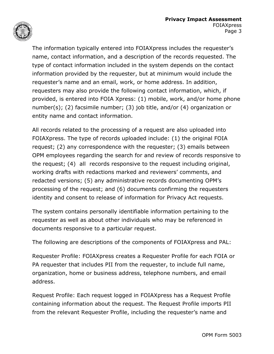

The information typically entered into FOIAXpress includes the requester's name, contact information, and a description of the records requested. The type of contact information included in the system depends on the contact information provided by the requester, but at minimum would include the requester's name and an email, work, or home address. In addition, requesters may also provide the following contact information, which, if provided, is entered into FOIA Xpress: (1) mobile, work, and/or home phone number(s); (2) facsimile number; (3) job title, and/or (4) organization or entity name and contact information.

All records related to the processing of a request are also uploaded into FOIAXpress. The type of records uploaded include: (1) the original FOIA request; (2) any correspondence with the requester; (3) emails between OPM employees regarding the search for and review of records responsive to the request; (4) all records responsive to the request including original, working drafts with redactions marked and reviewers' comments, and redacted versions; (5) any administrative records documenting OPM's processing of the request; and (6) documents confirming the requesters identity and consent to release of information for Privacy Act requests.

The system contains personally identifiable information pertaining to the requester as well as about other individuals who may be referenced in documents responsive to a particular request.

The following are descriptions of the components of FOIAXpress and PAL:

Requester Profile: FOIAXpress creates a Requester Profile for each FOIA or PA requester that includes PII from the requester, to include full name, organization, home or business address, telephone numbers, and email address.

Request Profile: Each request logged in FOIAXpress has a Request Profile containing information about the request. The Request Profile imports PII from the relevant Requester Profile, including the requester's name and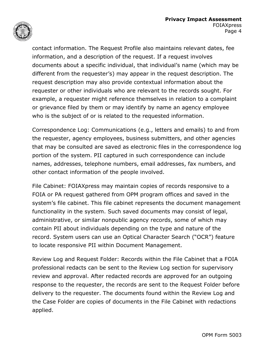

contact information. The Request Profile also maintains relevant dates, fee information, and a description of the request. If a request involves documents about a specific individual, that individual's name (which may be different from the requester's) may appear in the request description. The request description may also provide contextual information about the requester or other individuals who are relevant to the records sought. For example, a requester might reference themselves in relation to a complaint or grievance filed by them or may identify by name an agency employee who is the subject of or is related to the requested information.

Correspondence Log: Communications (e.g., letters and emails) to and from the requester, agency employees, business submitters, and other agencies that may be consulted are saved as electronic files in the correspondence log portion of the system. PII captured in such correspondence can include names, addresses, telephone numbers, email addresses, fax numbers, and other contact information of the people involved.

File Cabinet: FOIAXpress may maintain copies of records responsive to a FOIA or PA request gathered from OPM program offices and saved in the system's file cabinet. This file cabinet represents the document management functionality in the system. Such saved documents may consist of legal, administrative, or similar nonpublic agency records, some of which may contain PII about individuals depending on the type and nature of the record. System users can use an Optical Character Search ("OCR") feature to locate responsive PII within Document Management.

Review Log and Request Folder: Records within the File Cabinet that a FOIA professional redacts can be sent to the Review Log section for supervisory review and approval. After redacted records are approved for an outgoing response to the requester, the records are sent to the Request Folder before delivery to the requester. The documents found within the Review Log and the Case Folder are copies of documents in the File Cabinet with redactions applied.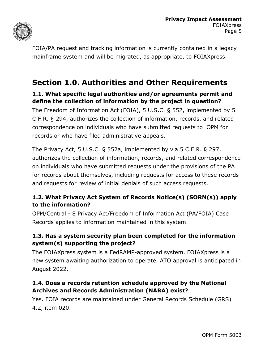

FOIA/PA request and tracking information is currently contained in a legacy mainframe system and will be migrated, as appropriate, to FOIAXpress.

## **Section 1.0. Authorities and Other Requirements**

#### **1.1. What specific legal authorities and/or agreements permit and define the collection of information by the project in question?**

The Freedom of Information Act (FOIA), 5 U.S.C. § 552, implemented by 5 C.F.R. § 294, authorizes the collection of information, records, and related correspondence on individuals who have submitted requests to OPM for records or who have filed administrative appeals.

The Privacy Act, 5 U.S.C. § 552a, implemented by via 5 C.F.R. § 297, authorizes the collection of information, records, and related correspondence on individuals who have submitted requests under the provisions of the PA for records about themselves, including requests for access to these records and requests for review of initial denials of such access requests.

#### **1.2. What Privacy Act System of Records Notice(s) (SORN(s)) apply to the information?**

OPM/Central - 8 Privacy Act/Freedom of Information Act (PA/FOIA) Case Records applies to information maintained in this system.

#### **1.3. Has a system security plan been completed for the information system(s) supporting the project?**

The FOIAXpress system is a FedRAMP-approved system. FOIAXpress is a new system awaiting authorization to operate. ATO approval is anticipated in August 2022.

#### **1.4. Does a records retention schedule approved by the National Archives and Records Administration (NARA) exist?**

Yes. FOIA records are maintained under General Records Schedule (GRS) 4.2, item 020.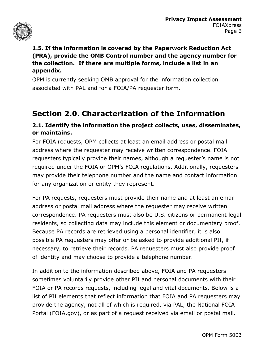

#### **1.5. If the information is covered by the Paperwork Reduction Act (PRA), provide the OMB Control number and the agency number for the collection. If there are multiple forms, include a list in an appendix.**

OPM is currently seeking OMB approval for the information collection associated with PAL and for a FOIA/PA requester form.

## **Section 2.0. Characterization of the Information**

#### **2.1. Identify the information the project collects, uses, disseminates, or maintains.**

For FOIA requests, OPM collects at least an email address or postal mail address where the requester may receive written correspondence. FOIA requesters typically provide their names, although a requester's name is not required under the FOIA or OPM's FOIA regulations. Additionally, requesters may provide their telephone number and the name and contact information for any organization or entity they represent.

For PA requests, requesters must provide their name and at least an email address or postal mail address where the requester may receive written correspondence. PA requesters must also be U.S. citizens or permanent legal residents, so collecting data may include this element or documentary proof. Because PA records are retrieved using a personal identifier, it is also possible PA requesters may offer or be asked to provide additional PII, if necessary, to retrieve their records. PA requesters must also provide proof of identity and may choose to provide a telephone number.

In addition to the information described above, FOIA and PA requesters sometimes voluntarily provide other PII and personal documents with their FOIA or PA records requests, including legal and vital documents. Below is a list of PII elements that reflect information that FOIA and PA requesters may provide the agency, not all of which is required, via PAL, the National FOIA Portal (FOIA.gov), or as part of a request received via email or postal mail.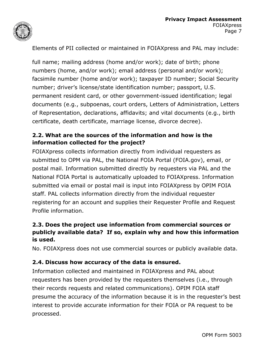

Elements of PII collected or maintained in FOIAXpress and PAL may include:

full name; mailing address (home and/or work); date of birth; phone numbers (home, and/or work); email address (personal and/or work); facsimile number (home and/or work); taxpayer ID number; Social Security number; driver's license/state identification number; passport, U.S. permanent resident card, or other government-issued identification; legal documents (e.g., subpoenas, court orders, Letters of Administration, Letters of Representation, declarations, affidavits; and vital documents (e.g., birth certificate, death certificate, marriage license, divorce decree).

#### **2.2. What are the sources of the information and how is the information collected for the project?**

FOIAXpress collects information directly from individual requesters as submitted to OPM via PAL, the National FOIA Portal (FOIA.gov), email, or postal mail. Information submitted directly by requesters via PAL and the National FOIA Portal is automatically uploaded to FOIAXpress. Information submitted via email or postal mail is input into FOIAXpress by OPIM FOIA staff. PAL collects information directly from the individual requester registering for an account and supplies their Requester Profile and Request Profile information.

#### **2.3. Does the project use information from commercial sources or publicly available data? If so, explain why and how this information is used.**

No. FOIAXpress does not use commercial sources or publicly available data.

#### **2.4. Discuss how accuracy of the data is ensured.**

Information collected and maintained in FOIAXpress and PAL about requesters has been provided by the requesters themselves (i.e., through their records requests and related communications). OPIM FOIA staff presume the accuracy of the information because it is in the requester's best interest to provide accurate information for their FOIA or PA request to be processed.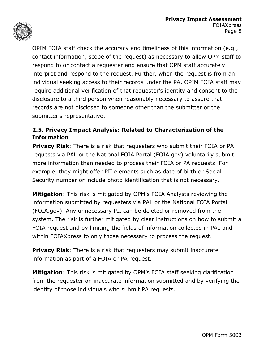

OPIM FOIA staff check the accuracy and timeliness of this information (e.g., contact information, scope of the request) as necessary to allow OPM staff to respond to or contact a requester and ensure that OPM staff accurately interpret and respond to the request. Further, when the request is from an individual seeking access to their records under the PA, OPIM FOIA staff may require additional verification of that requester's identity and consent to the disclosure to a third person when reasonably necessary to assure that records are not disclosed to someone other than the submitter or the submitter's representative.

#### **2.5. Privacy Impact Analysis: Related to Characterization of the Information**

**Privacy Risk**: There is a risk that requesters who submit their FOIA or PA requests via PAL or the National FOIA Portal (FOIA.gov) voluntarily submit more information than needed to process their FOIA or PA requests. For example, they might offer PII elements such as date of birth or Social Security number or include photo identification that is not necessary.

**Mitigation**: This risk is mitigated by OPM's FOIA Analysts reviewing the information submitted by requesters via PAL or the National FOIA Portal (FOIA.gov). Any unnecessary PII can be deleted or removed from the system. The risk is further mitigated by clear instructions on how to submit a FOIA request and by limiting the fields of information collected in PAL and within FOIAXpress to only those necessary to process the request.

**Privacy Risk**: There is a risk that requesters may submit inaccurate information as part of a FOIA or PA request.

**Mitigation**: This risk is mitigated by OPM's FOIA staff seeking clarification from the requester on inaccurate information submitted and by verifying the identity of those individuals who submit PA requests.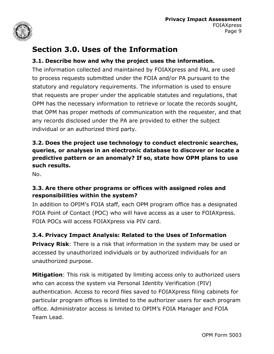

# **Section 3.0. Uses of the Information**

#### **3.1. Describe how and why the project uses the information.**

The information collected and maintained by FOIAXpress and PAL are used to process requests submitted under the FOIA and/or PA pursuant to the statutory and regulatory requirements. The information is used to ensure that requests are proper under the applicable statutes and regulations, that OPM has the necessary information to retrieve or locate the records sought, that OPM has proper methods of communication with the requester, and that any records disclosed under the PA are provided to either the subject individual or an authorized third party.

#### **3.2. Does the project use technology to conduct electronic searches, queries, or analyses in an electronic database to discover or locate a predictive pattern or an anomaly? If so, state how OPM plans to use such results.**

No.

#### **3.3. Are there other programs or offices with assigned roles and responsibilities within the system?**

In addition to OPIM's FOIA staff, each OPM program office has a designated FOIA Point of Contact (POC) who will have access as a user to FOIAXpress. FOIA POCs will access FOIAXpress via PIV card.

#### **3.4. Privacy Impact Analysis: Related to the Uses of Information**

**Privacy Risk**: There is a risk that information in the system may be used or accessed by unauthorized individuals or by authorized individuals for an unauthorized purpose.

**Mitigation**: This risk is mitigated by limiting access only to authorized users who can access the system via Personal Identity Verification (PIV) authentication. Access to record files saved to FOIAXpress filing cabinets for particular program offices is limited to the authorizer users for each program office. Administrator access is limited to OPIM's FOIA Manager and FOIA Team Lead.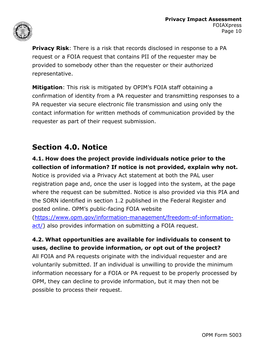

**Privacy Risk**: There is a risk that records disclosed in response to a PA request or a FOIA request that contains PII of the requester may be provided to somebody other than the requester or their authorized representative.

**Mitigation**: This risk is mitigated by OPIM's FOIA staff obtaining a confirmation of identity from a PA requester and transmitting responses to a PA requester via secure electronic file transmission and using only the contact information for written methods of communication provided by the requester as part of their request submission.

# **Section 4.0. Notice**

#### **4.1. How does the project provide individuals notice prior to the collection of information? If notice is not provided, explain why not.**

Notice is provided via a Privacy Act statement at both the PAL user registration page and, once the user is logged into the system, at the page where the request can be submitted. Notice is also provided via this PIA and the SORN identified in section 1.2 published in the Federal Register and posted online. OPM's public-facing FOIA website

[\(https://www.opm.gov/information-management/freedom-of-information]((https://www.opm.gov/information-management/freedom-of-information-act/)[act/\)]((https://www.opm.gov/information-management/freedom-of-information-act/) also provides information on submitting a FOIA request.

#### **4.2. What opportunities are available for individuals to consent to uses, decline to provide information, or opt out of the project?**

All FOIA and PA requests originate with the individual requester and are voluntarily submitted. If an individual is unwilling to provide the minimum information necessary for a FOIA or PA request to be properly processed by OPM, they can decline to provide information, but it may then not be possible to process their request.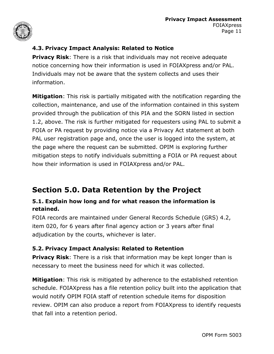

#### **4.3. Privacy Impact Analysis: Related to Notice**

**Privacy Risk:** There is a risk that individuals may not receive adequate notice concerning how their information is used in FOIAXpress and/or PAL. Individuals may not be aware that the system collects and uses their information.

**Mitigation**: This risk is partially mitigated with the notification regarding the collection, maintenance, and use of the information contained in this system provided through the publication of this PIA and the SORN listed in section 1.2, above. The risk is further mitigated for requesters using PAL to submit a FOIA or PA request by providing notice via a Privacy Act statement at both PAL user registration page and, once the user is logged into the system, at the page where the request can be submitted. OPIM is exploring further mitigation steps to notify individuals submitting a FOIA or PA request about how their information is used in FOIAXpress and/or PAL.

# **Section 5.0. Data Retention by the Project**

#### **5.1. Explain how long and for what reason the information is retained.**

FOIA records are maintained under General Records Schedule (GRS) 4.2, item 020, for 6 years after final agency action or 3 years after final adjudication by the courts, whichever is later.

#### **5.2. Privacy Impact Analysis: Related to Retention**

**Privacy Risk:** There is a risk that information may be kept longer than is necessary to meet the business need for which it was collected.

**Mitigation**: This risk is mitigated by adherence to the established retention schedule. FOIAXpress has a file retention policy built into the application that would notify OPIM FOIA staff of retention schedule items for disposition review. OPIM can also produce a report from FOIAXpress to identify requests that fall into a retention period.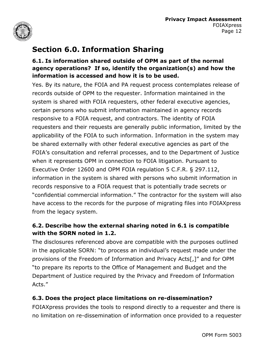

# **Section 6.0. Information Sharing**

#### **6.1. Is information shared outside of OPM as part of the normal agency operations? If so, identify the organization(s) and how the information is accessed and how it is to be used.**

Yes. By its nature, the FOIA and PA request process contemplates release of records outside of OPM to the requester. Information maintained in the system is shared with FOIA requesters, other federal executive agencies, certain persons who submit information maintained in agency records responsive to a FOIA request, and contractors. The identity of FOIA requesters and their requests are generally public information, limited by the applicability of the FOIA to such information. Information in the system may be shared externally with other federal executive agencies as part of the FOIA's consultation and referral processes, and to the Department of Justice when it represents OPM in connection to FOIA litigation. Pursuant to Executive Order 12600 and OPM FOIA regulation 5 C.F.R. § 297.112, information in the system is shared with persons who submit information in records responsive to a FOIA request that is potentially trade secrets or "confidential commercial information." The contractor for the system will also have access to the records for the purpose of migrating files into FOIAXpress from the legacy system.

#### **6.2. Describe how the external sharing noted in 6.1 is compatible with the SORN noted in 1.2.**

The disclosures referenced above are compatible with the purposes outlined in the applicable SORN: "to process an individual's request made under the provisions of the Freedom of Information and Privacy Acts[,]" and for OPM "to prepare its reports to the Office of Management and Budget and the Department of Justice required by the Privacy and Freedom of Information Acts."

#### **6.3. Does the project place limitations on re-dissemination?**

FOIAXpress provides the tools to respond directly to a requester and there is no limitation on re-dissemination of information once provided to a requester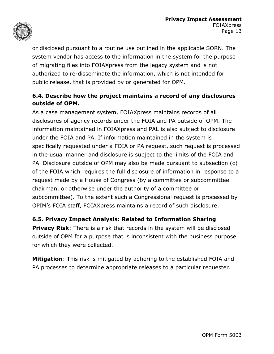

or disclosed pursuant to a routine use outlined in the applicable SORN. The system vendor has access to the information in the system for the purpose of migrating files into FOIAXpress from the legacy system and is not authorized to re-disseminate the information, which is not intended for public release, that is provided by or generated for OPM.

#### **6.4. Describe how the project maintains a record of any disclosures outside of OPM.**

As a case management system, FOIAXpress maintains records of all disclosures of agency records under the FOIA and PA outside of OPM. The information maintained in FOIAXpress and PAL is also subject to disclosure under the FOIA and PA. If information maintained in the system is specifically requested under a FOIA or PA request, such request is processed in the usual manner and disclosure is subject to the limits of the FOIA and PA. Disclosure outside of OPM may also be made pursuant to subsection (c) of the FOIA which requires the full disclosure of information in response to a request made by a House of Congress (by a committee or subcommittee chairman, or otherwise under the authority of a committee or subcommittee). To the extent such a Congressional request is processed by OPIM's FOIA staff, FOIAXpress maintains a record of such disclosure.

#### **6.5. Privacy Impact Analysis: Related to Information Sharing**

**Privacy Risk:** There is a risk that records in the system will be disclosed outside of OPM for a purpose that is inconsistent with the business purpose for which they were collected.

**Mitigation**: This risk is mitigated by adhering to the established FOIA and PA processes to determine appropriate releases to a particular requester.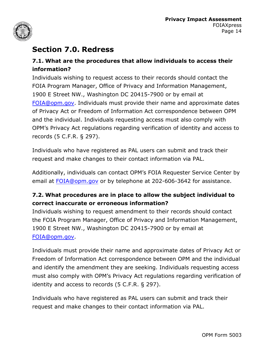

# **Section 7.0. Redress**

#### **7.1. What are the procedures that allow individuals to access their information?**

Individuals wishing to request access to their records should contact the FOIA Program Manager, Office of Privacy and Information Management, 1900 E Street NW., Washington DC 20415-7900 or by email at [FOIA@opm.gov.](mailto:FOIA@opm.gov) Individuals must provide their name and approximate dates of Privacy Act or Freedom of Information Act correspondence between OPM and the individual. Individuals requesting access must also comply with OPM's Privacy Act regulations regarding verification of identity and access to records (5 C.F.R. § 297).

Individuals who have registered as PAL users can submit and track their request and make changes to their contact information via PAL.

Additionally, individuals can contact OPM's FOIA Requester Service Center by email at <FOIA@opm.gov> or by telephone at 202-606-3642 for assistance.

#### **7.2. What procedures are in place to allow the subject individual to correct inaccurate or erroneous information?**

Individuals wishing to request amendment to their records should contact the FOIA Program Manager, Office of Privacy and Information Management, 1900 E Street NW., Washington DC 20415-7900 or by email at [FOIA@opm.gov](mailto:FOIA@opm.gov).

Individuals must provide their name and approximate dates of Privacy Act or Freedom of Information Act correspondence between OPM and the individual and identify the amendment they are seeking. Individuals requesting access must also comply with OPM's Privacy Act regulations regarding verification of identity and access to records (5 C.F.R. § 297).

Individuals who have registered as PAL users can submit and track their request and make changes to their contact information via PAL.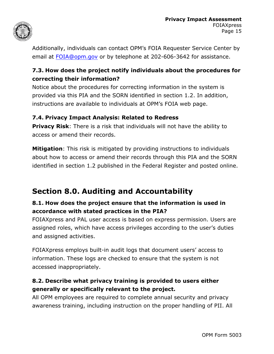

Additionally, individuals can contact OPM's FOIA Requester Service Center by email at [FOIA@opm.gov o](mailto:FOIA@opm.gov)r by telephone at 202-606-3642 for assistance.

#### **7.3. How does the project notify individuals about the procedures for correcting their information?**

Notice about the procedures for correcting information in the system is provided via this PIA and the SORN identified in section 1.2. In addition, instructions are available to individuals at OPM's FOIA web page.

#### **7.4. Privacy Impact Analysis: Related to Redress**

**Privacy Risk**: There is a risk that individuals will not have the ability to access or amend their records.

**Mitigation**: This risk is mitigated by providing instructions to individuals about how to access or amend their records through this PIA and the SORN identified in section 1.2 published in the Federal Register and posted online.

# **Section 8.0. Auditing and Accountability**

#### **8.1. How does the project ensure that the information is used in accordance with stated practices in the PIA?**

FOIAXpress and PAL user access is based on express permission. Users are assigned roles, which have access privileges according to the user's duties and assigned activities.

FOIAXpress employs built-in audit logs that document users' access to information. These logs are checked to ensure that the system is not accessed inappropriately.

#### **8.2. Describe what privacy training is provided to users either generally or specifically relevant to the project.**

All OPM employees are required to complete annual security and privacy awareness training, including instruction on the proper handling of PII. All